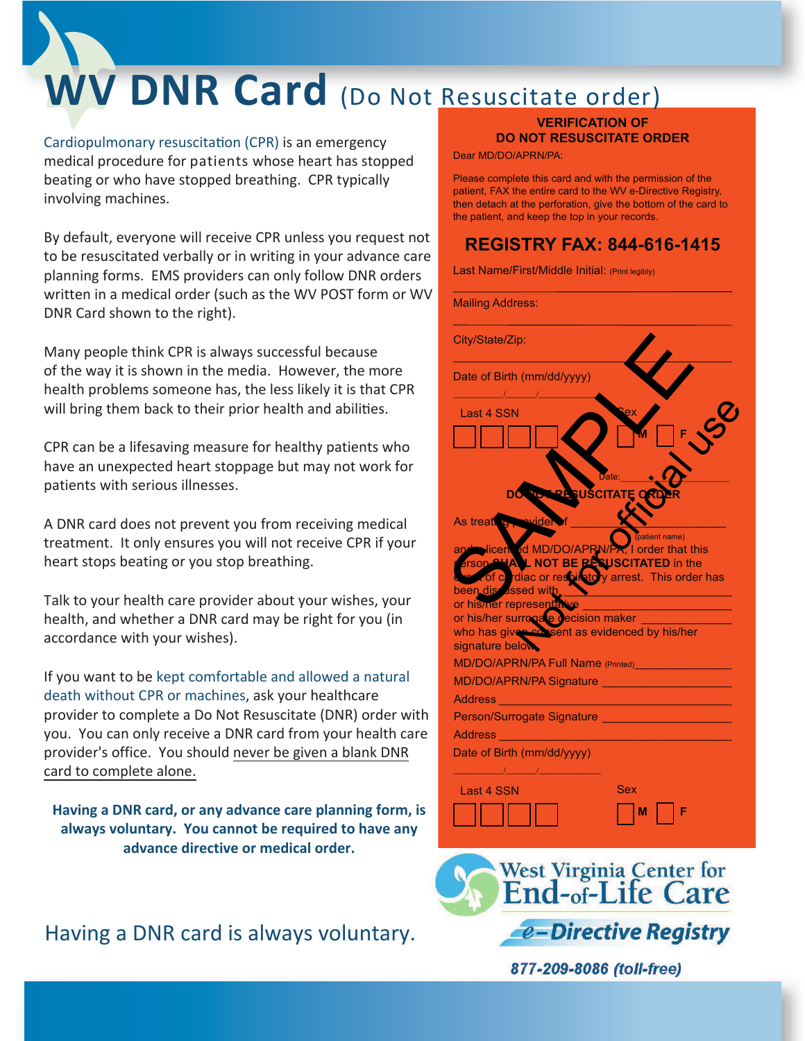# **WV DNR Card** (Do Not Resuscitate order)

Cardiopulmonary resuscitation (CPR) is an emergency medical procedure for patients whose heart has stopped beating or who have stopped breathing. CPR typically involving machines.

By default, everyone will receive CPR unless you request not to be resuscitated verbally or in writing in your advance care planning forms. EMS providers can only follow DNR orders written in a medical order (such as the WV POST form or WV DNR Card shown to the right).

Many people think CPR is always successful because of the way it is shown in the media. However, the more health problems someone has, the less likely it is that CPR will bring them back to their prior health and abilities.

CPR can be a lifesaving measure for healthy patients who have an unexpected heart stoppage but may not work for patients with serious illnesses.

A DNR card does not prevent you from receiving medical treatment. It only ensures you will not receive CPR if your heart stops beating or you stop breathing.

Talk to your health care provider about your wishes, your health, and whether a DNR card may be right for you (in accordance with your wishes).

If you want to be kept comfortable and allowed a natural death without CPR or machines, ask your healthcare provider to complete a Do Not Resuscitate (DNR) order with you. You can only receive a DNR card from your health care provider's office. You should never be given a blank DNR card to complete alone.

**Having a DNR card, or any advance care planning form, is always voluntary. You cannot be required to have any advance directive or medical order.**

Having a DNR card is always voluntary.

#### **VERIFICATION OF DO NOT RESUSCITATE ORDER**

Dear MD/DO/APRN/PA:

Please complete this card and with the permission of the patient, FAX the entire card to the WV e-Directive Registry, then detach at the perforation, give the bottom of the card to the patient, and keep the top in your records.

#### **REGISTRY FAX: 844-616-1415**

Last Name/First/Middle Initial: (Print legibly)

Mailing Address:

| City/State/Zip:                                                                                                  |
|------------------------------------------------------------------------------------------------------------------|
| Date of Birth (mm/dd/yyyy)                                                                                       |
| $\mathcal{L} = \mathcal{L} = \mathcal{L} = \mathcal{L}$<br>Last 4 SSN                                            |
|                                                                                                                  |
|                                                                                                                  |
| Jate                                                                                                             |
| <b>USCITATE</b>                                                                                                  |
|                                                                                                                  |
| wider<br>As treative<br>atient name)                                                                             |
| Micen ed MD/DO/APRN/PA, I order that this<br>DP PLA L NOT BE PESUSCITATED in the<br>, I order that this<br>and   |
| rson.<br>cof cardiac or resolute by arrest. This order has                                                       |
| been discussed with                                                                                              |
| or his/ner representative<br>or his/her surrogate decision maker                                                 |
| who has given consent as evidenced by his/her                                                                    |
| signature below                                                                                                  |
| MD/DO/APRN/PA Full Name (Printed)                                                                                |
| MD/DO/APRN/PA Signature <b>MD/DO/APRN/PA</b> Signature                                                           |
| <b>Address</b><br><u> 1990 - Johann Barbara, martxa al</u><br>Person/Surrogate Signature _______________________ |
| Address <b>Address Address</b>                                                                                   |
| Date of Birth (mm/dd/yyyy)                                                                                       |
| $\frac{1}{2}$ $\frac{1}{2}$ $\frac{1}{2}$ $\frac{1}{2}$ $\frac{1}{2}$ $\frac{1}{2}$                              |
| Sex<br>Last 4 SSN                                                                                                |
| F                                                                                                                |
|                                                                                                                  |
|                                                                                                                  |
| West Virginia Center for                                                                                         |
| d-of-Life Car<br>re                                                                                              |

877-209-8086 (toll-free)

**e-Directive Registry**